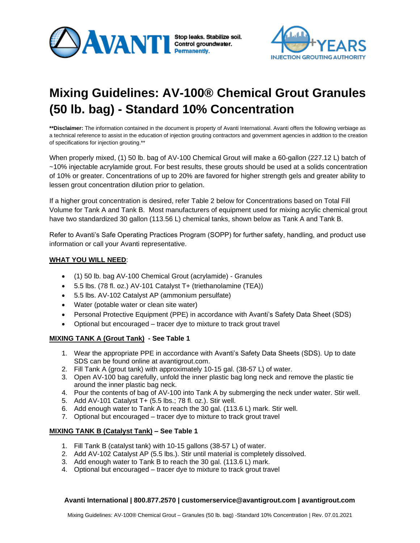



# **Mixing Guidelines: AV-100® Chemical Grout Granules (50 lb. bag) - Standard 10% Concentration**

**\*\*Disclaimer:** The information contained in the document is property of Avanti International. Avanti offers the following verbiage as a technical reference to assist in the education of injection grouting contractors and government agencies in addition to the creation of specifications for injection grouting.\*\*

When properly mixed, (1) 50 lb. bag of AV-100 Chemical Grout will make a 60-gallon (227.12 L) batch of ~10% injectable acrylamide grout. For best results, these grouts should be used at a solids concentration of 10% or greater. Concentrations of up to 20% are favored for higher strength gels and greater ability to lessen grout concentration dilution prior to gelation.

If a higher grout concentration is desired, refer Table 2 below for Concentrations based on Total Fill Volume for Tank A and Tank B. Most manufacturers of equipment used for mixing acrylic chemical grout have two standardized 30 gallon (113.56 L) chemical tanks, shown below as Tank A and Tank B.

Refer to Avanti's Safe Operating Practices Program (SOPP) for further safety, handling, and product use information or call your Avanti representative.

## **WHAT YOU WILL NEED**:

- (1) 50 lb. bag AV-100 Chemical Grout (acrylamide) Granules
- 5.5 lbs. (78 fl. oz.) AV-101 Catalyst T+ (triethanolamine (TEA))
- 5.5 lbs. AV-102 Catalyst AP (ammonium persulfate)
- Water (potable water or clean site water)
- Personal Protective Equipment (PPE) in accordance with Avanti's Safety Data Sheet (SDS)
- Optional but encouraged tracer dye to mixture to track grout travel

## **MIXING TANK A (Grout Tank) - See Table 1**

- 1. Wear the appropriate PPE in accordance with Avanti's Safety Data Sheets (SDS). Up to date SDS can be found online at avantigrout.com.
- 2. Fill Tank A (grout tank) with approximately 10-15 gal. (38-57 L) of water.
- 3. Open AV-100 bag carefully, unfold the inner plastic bag long neck and remove the plastic tie around the inner plastic bag neck.
- 4. Pour the contents of bag of AV-100 into Tank A by submerging the neck under water. Stir well.
- 5. Add AV-101 Catalyst T+ (5.5 lbs.; 78 fl. oz.). Stir well.
- 6. Add enough water to Tank A to reach the 30 gal. (113.6 L) mark. Stir well.
- 7. Optional but encouraged tracer dye to mixture to track grout travel

## **MIXING TANK B (Catalyst Tank) – See Table 1**

- 1. Fill Tank B (catalyst tank) with 10-15 gallons (38-57 L) of water.
- 2. Add AV-102 Catalyst AP (5.5 lbs.). Stir until material is completely dissolved.
- 3. Add enough water to Tank B to reach the 30 gal. (113.6 L) mark.
- 4. Optional but encouraged tracer dye to mixture to track grout travel

## **Avanti International | 800.877.2570 | customerservice@avantigrout.com | avantigrout.com**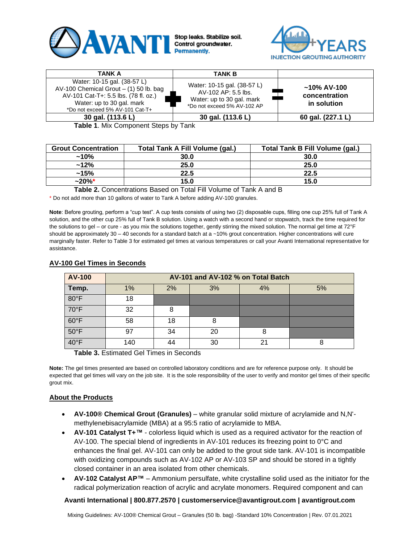



| TANK A                                                                                                                                                                          | <b>TANK B</b>                                                                                                  |                                                |
|---------------------------------------------------------------------------------------------------------------------------------------------------------------------------------|----------------------------------------------------------------------------------------------------------------|------------------------------------------------|
| Water: 10-15 gal. (38-57 L)<br>AV-100 Chemical Grout $-$ (1) 50 lb. bag<br>AV-101 Cat-T+: 5.5 lbs. (78 fl. oz.)<br>Water: up to 30 gal. mark<br>*Do not exceed 5% AV-101 Cat-T+ | Water: 10-15 gal. (38-57 L)<br>AV-102 AP: 5.5 lbs.<br>Water: up to 30 gal. mark<br>*Do not exceed 5% AV-102 AP | $~10\%$ AV-100<br>concentration<br>in solution |
| 30 gal. (113.6 L)                                                                                                                                                               | 30 gal. (113.6 L)                                                                                              | 60 gal. (227.1 L)                              |

**Table 1**. Mix Component Steps by Tank

| <b>Grout Concentration</b> | <b>Total Tank A Fill Volume (gal.)</b> | Total Tank B Fill Volume (gal.) |  |  |
|----------------------------|----------------------------------------|---------------------------------|--|--|
| $~10\%$                    | 30.0                                   | 30.0                            |  |  |
| $~12\%$                    | 25.0                                   | 25.0                            |  |  |
| $~15\%$                    | 22.5                                   | 22.5                            |  |  |
| $~20\%$ *                  | 15.0                                   | 15.0                            |  |  |

**Table 2.** Concentrations Based on Total Fill Volume of Tank A and B

\* Do not add more than 10 gallons of water to Tank A before adding AV-100 granules.

**Note**: Before grouting, perform a "cup test". A cup tests consists of using two (2) disposable cups, filling one cup 25% full of Tank A solution, and the other cup 25% full of Tank B solution. Using a watch with a second hand or stopwatch, track the time required for the solutions to gel – or cure - as you mix the solutions together, gently stirring the mixed solution. The normal gel time at 72°F should be approximately  $30 - 40$  seconds for a standard batch at a  $~10\%$  grout concentration. Higher concentrations will cure marginally faster. Refer to Table 3 for estimated gel times at various temperatures or call your Avanti International representative for assistance.

| <b>AV-100</b>  | AV-101 and AV-102 % on Total Batch |    |    |    |    |  |
|----------------|------------------------------------|----|----|----|----|--|
| Temp.          | 1%                                 | 2% | 3% | 4% | 5% |  |
| $80^{\circ}$ F | 18                                 |    |    |    |    |  |
| $70^{\circ}$ F | 32                                 | 8  |    |    |    |  |
| $60^{\circ}$ F | 58                                 | 18 | 8  |    |    |  |
| $50^{\circ}$ F | 97                                 | 34 | 20 |    |    |  |
| 40°F           | 140                                | 44 | 30 |    | 8  |  |

## **AV-100 Gel Times in Seconds**

**Table 3.** Estimated Gel Times in Seconds

**Note:** The gel times presented are based on controlled laboratory conditions and are for reference purpose only. It should be expected that gel times will vary on the job site. It is the sole responsibility of the user to verify and monitor gel times of their specific grout mix.

## **About the Products**

- **AV-100® Chemical Grout (Granules)** white granular solid mixture of acrylamide and N,N' methylenebisacrylamide (MBA) at a 95:5 ratio of acrylamide to MBA.
- **AV-101 Catalyst T+™** colorless liquid which is used as a required activator for the reaction of AV-100. The special blend of ingredients in AV-101 reduces its freezing point to 0°C and enhances the final gel. AV-101 can only be added to the grout side tank. AV-101 is incompatible with oxidizing compounds such as AV-102 AP or AV-103 SP and should be stored in a tightly closed container in an area isolated from other chemicals.
- **AV-102 Catalyst AP™** Ammonium persulfate, white crystalline solid used as the initiator for the radical polymerization reaction of acrylic and acrylate monomers. Required component and can

## **Avanti International | 800.877.2570 | customerservice@avantigrout.com | avantigrout.com**